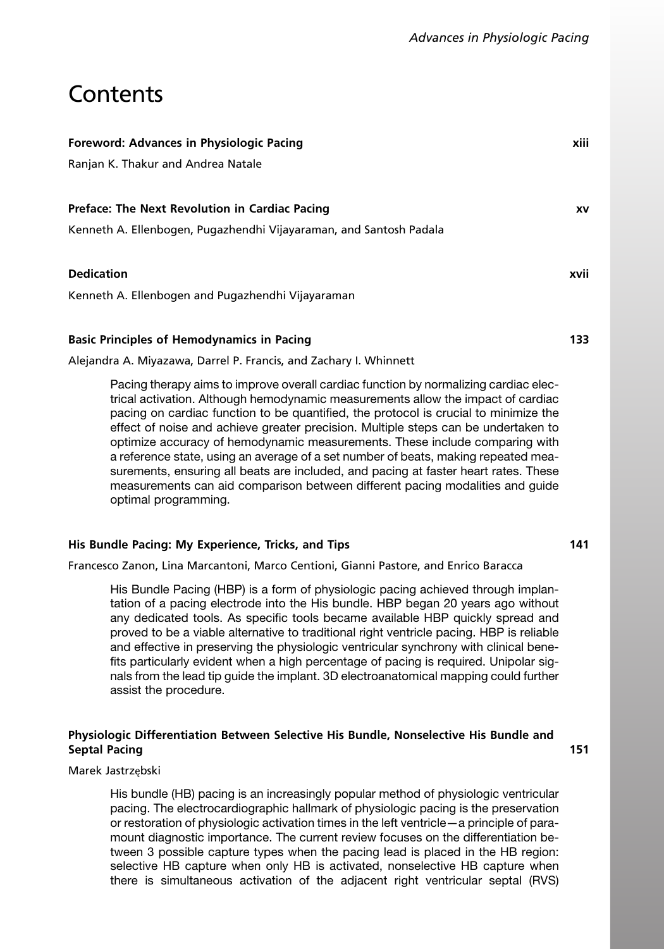# Contents

| Foreword: Advances in Physiologic Pacing                                             | xiii      |
|--------------------------------------------------------------------------------------|-----------|
| Ranjan K. Thakur and Andrea Natale                                                   |           |
| Preface: The Next Revolution in Cardiac Pacing                                       | <b>XV</b> |
| Kenneth A. Ellenbogen, Pugazhendhi Vijayaraman, and Santosh Padala                   |           |
| <b>Dedication</b>                                                                    | xvii      |
| Kenneth A. Ellenbogen and Pugazhendhi Vijayaraman                                    |           |
| <b>Basic Principles of Hemodynamics in Pacing</b>                                    | 133       |
| Alejandra A. Miyazawa, Darrel P. Francis, and Zachary I. Whinnett                    |           |
| Pacing therapy aims to improve overall cardiac function by normalizing cardiac elec- |           |

trical activation. Although hemodynamic measurements allow the impact of cardiac pacing on cardiac function to be quantified, the protocol is crucial to minimize the effect of noise and achieve greater precision. Multiple steps can be undertaken to optimize accuracy of hemodynamic measurements. These include comparing with a reference state, using an average of a set number of beats, making repeated measurements, ensuring all beats are included, and pacing at faster heart rates. These measurements can aid comparison between different pacing modalities and guide optimal programming.

#### His Bundle Pacing: My Experience, Tricks, and Tips 141

Francesco Zanon, Lina Marcantoni, Marco Centioni, Gianni Pastore, and Enrico Baracca

His Bundle Pacing (HBP) is a form of physiologic pacing achieved through implantation of a pacing electrode into the His bundle. HBP began 20 years ago without any dedicated tools. As specific tools became available HBP quickly spread and proved to be a viable alternative to traditional right ventricle pacing. HBP is reliable and effective in preserving the physiologic ventricular synchrony with clinical benefits particularly evident when a high percentage of pacing is required. Unipolar signals from the lead tip guide the implant. 3D electroanatomical mapping could further assist the procedure.

#### Physiologic Differentiation Between Selective His Bundle, Nonselective His Bundle and Septal Pacing 151

Marek Jastrzębski

His bundle (HB) pacing is an increasingly popular method of physiologic ventricular pacing. The electrocardiographic hallmark of physiologic pacing is the preservation or restoration of physiologic activation times in the left ventricle—a principle of paramount diagnostic importance. The current review focuses on the differentiation between 3 possible capture types when the pacing lead is placed in the HB region: selective HB capture when only HB is activated, nonselective HB capture when there is simultaneous activation of the adjacent right ventricular septal (RVS)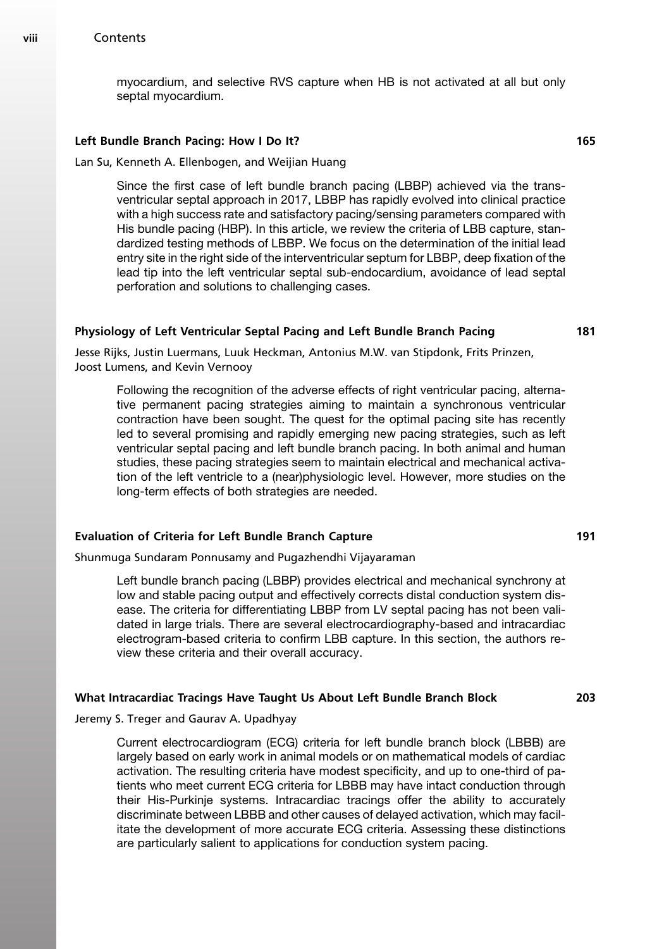myocardium, and selective RVS capture when HB is not activated at all but only septal myocardium.

### Left Bundle Branch Pacing: How I Do It? 165

Lan Su, Kenneth A. Ellenbogen, and Weijian Huang

Since the first case of left bundle branch pacing (LBBP) achieved via the transventricular septal approach in 2017, LBBP has rapidly evolved into clinical practice with a high success rate and satisfactory pacing/sensing parameters compared with His bundle pacing (HBP). In this article, we review the criteria of LBB capture, standardized testing methods of LBBP. We focus on the determination of the initial lead entry site in the right side of the interventricular septum for LBBP, deep fixation of the lead tip into the left ventricular septal sub-endocardium, avoidance of lead septal perforation and solutions to challenging cases.

## Physiology of Left Ventricular Septal Pacing and Left Bundle Branch Pacing 181

Jesse Rijks, Justin Luermans, Luuk Heckman, Antonius M.W. van Stipdonk, Frits Prinzen, Joost Lumens, and Kevin Vernooy

Following the recognition of the adverse effects of right ventricular pacing, alternative permanent pacing strategies aiming to maintain a synchronous ventricular contraction have been sought. The quest for the optimal pacing site has recently led to several promising and rapidly emerging new pacing strategies, such as left ventricular septal pacing and left bundle branch pacing. In both animal and human studies, these pacing strategies seem to maintain electrical and mechanical activation of the left ventricle to a (near)physiologic level. However, more studies on the long-term effects of both strategies are needed.

## Evaluation of Criteria for Left Bundle Branch Capture 191

Shunmuga Sundaram Ponnusamy and Pugazhendhi Vijayaraman

Left bundle branch pacing (LBBP) provides electrical and mechanical synchrony at low and stable pacing output and effectively corrects distal conduction system disease. The criteria for differentiating LBBP from LV septal pacing has not been validated in large trials. There are several electrocardiography-based and intracardiac electrogram-based criteria to confirm LBB capture. In this section, the authors review these criteria and their overall accuracy.

## What Intracardiac Tracings Have Taught Us About Left Bundle Branch Block 203

Jeremy S. Treger and Gaurav A. Upadhyay

Current electrocardiogram (ECG) criteria for left bundle branch block (LBBB) are largely based on early work in animal models or on mathematical models of cardiac activation. The resulting criteria have modest specificity, and up to one-third of patients who meet current ECG criteria for LBBB may have intact conduction through their His-Purkinje systems. Intracardiac tracings offer the ability to accurately discriminate between LBBB and other causes of delayed activation, which may facilitate the development of more accurate ECG criteria. Assessing these distinctions are particularly salient to applications for conduction system pacing.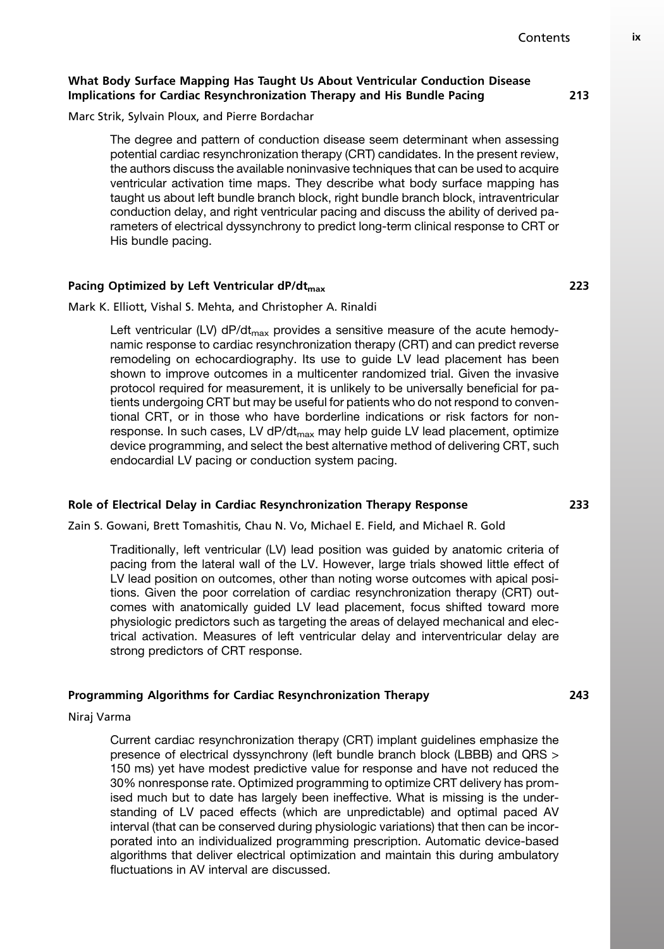## What Body Surface Mapping Has Taught Us About Ventricular Conduction Disease Implications for Cardiac Resynchronization Therapy and His Bundle Pacing 213

Marc Strik, Sylvain Ploux, and Pierre Bordachar

The degree and pattern of conduction disease seem determinant when assessing potential cardiac resynchronization therapy (CRT) candidates. In the present review, the authors discuss the available noninvasive techniques that can be used to acquire ventricular activation time maps. They describe what body surface mapping has taught us about left bundle branch block, right bundle branch block, intraventricular conduction delay, and right ventricular pacing and discuss the ability of derived parameters of electrical dyssynchrony to predict long-term clinical response to CRT or His bundle pacing.

## Pacing Optimized by Left Ventricular  $dP/dt_{max}$  223

Mark K. Elliott, Vishal S. Mehta, and Christopher A. Rinaldi

Left ventricular (LV)  $dP/dt_{max}$  provides a sensitive measure of the acute hemodynamic response to cardiac resynchronization therapy (CRT) and can predict reverse remodeling on echocardiography. Its use to guide LV lead placement has been shown to improve outcomes in a multicenter randomized trial. Given the invasive protocol required for measurement, it is unlikely to be universally beneficial for patients undergoing CRT but may be useful for patients who do not respond to conventional CRT, or in those who have borderline indications or risk factors for nonresponse. In such cases, LV dP/dt<sub>max</sub> may help guide LV lead placement, optimize device programming, and select the best alternative method of delivering CRT, such endocardial LV pacing or conduction system pacing.

## Role of Electrical Delay in Cardiac Resynchronization Therapy Response 233

Zain S. Gowani, Brett Tomashitis, Chau N. Vo, Michael E. Field, and Michael R. Gold

Traditionally, left ventricular (LV) lead position was guided by anatomic criteria of pacing from the lateral wall of the LV. However, large trials showed little effect of LV lead position on outcomes, other than noting worse outcomes with apical positions. Given the poor correlation of cardiac resynchronization therapy (CRT) outcomes with anatomically guided LV lead placement, focus shifted toward more physiologic predictors such as targeting the areas of delayed mechanical and electrical activation. Measures of left ventricular delay and interventricular delay are strong predictors of CRT response.

#### Programming Algorithms for Cardiac Resynchronization Therapy 243

Niraj Varma

Current cardiac resynchronization therapy (CRT) implant guidelines emphasize the presence of electrical dyssynchrony (left bundle branch block (LBBB) and QRS > 150 ms) yet have modest predictive value for response and have not reduced the 30% nonresponse rate. Optimized programming to optimize CRT delivery has promised much but to date has largely been ineffective. What is missing is the understanding of LV paced effects (which are unpredictable) and optimal paced AV interval (that can be conserved during physiologic variations) that then can be incorporated into an individualized programming prescription. Automatic device-based algorithms that deliver electrical optimization and maintain this during ambulatory fluctuations in AV interval are discussed.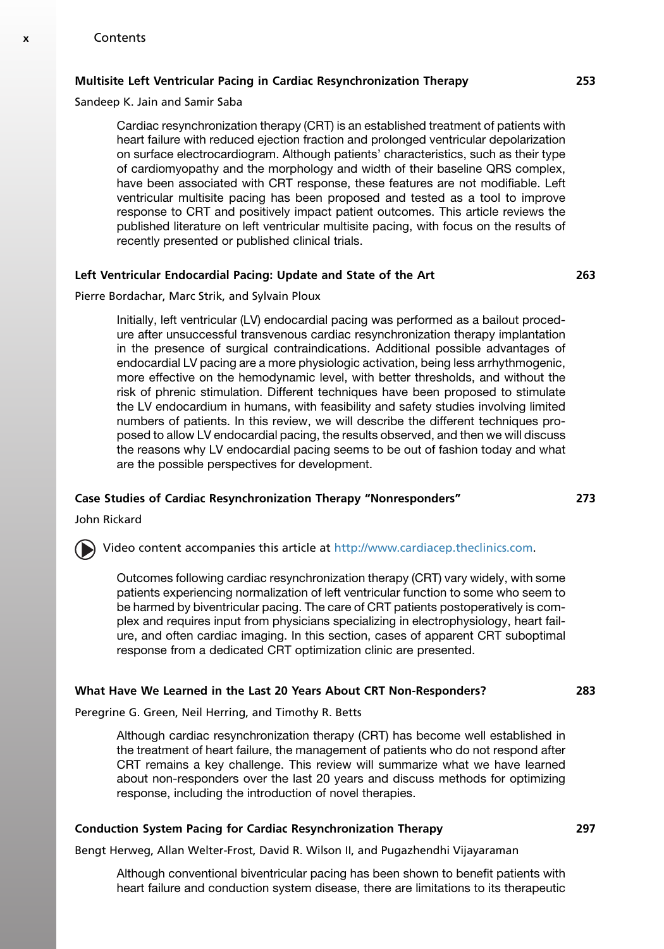## Multisite Left Ventricular Pacing in Cardiac Resynchronization Therapy 253

Sandeep K. Jain and Samir Saba

Cardiac resynchronization therapy (CRT) is an established treatment of patients with heart failure with reduced ejection fraction and prolonged ventricular depolarization on surface electrocardiogram. Although patients' characteristics, such as their type of cardiomyopathy and the morphology and width of their baseline QRS complex, have been associated with CRT response, these features are not modifiable. Left ventricular multisite pacing has been proposed and tested as a tool to improve response to CRT and positively impact patient outcomes. This article reviews the published literature on left ventricular multisite pacing, with focus on the results of recently presented or published clinical trials.

#### Left Ventricular Endocardial Pacing: Update and State of the Art 263

#### Pierre Bordachar, Marc Strik, and Sylvain Ploux

Initially, left ventricular (LV) endocardial pacing was performed as a bailout procedure after unsuccessful transvenous cardiac resynchronization therapy implantation in the presence of surgical contraindications. Additional possible advantages of endocardial LV pacing are a more physiologic activation, being less arrhythmogenic, more effective on the hemodynamic level, with better thresholds, and without the risk of phrenic stimulation. Different techniques have been proposed to stimulate the LV endocardium in humans, with feasibility and safety studies involving limited numbers of patients. In this review, we will describe the different techniques proposed to allow LV endocardial pacing, the results observed, and then we will discuss the reasons why LV endocardial pacing seems to be out of fashion today and what are the possible perspectives for development.

#### Case Studies of Cardiac Resynchronization Therapy "Nonresponders" 273

John Rickard

(b) Video content accompanies this article at [http://www.cardiacep.theclinics.com.](http://www.cardiacep.theclinics.com)

Outcomes following cardiac resynchronization therapy (CRT) vary widely, with some patients experiencing normalization of left ventricular function to some who seem to be harmed by biventricular pacing. The care of CRT patients postoperatively is complex and requires input from physicians specializing in electrophysiology, heart failure, and often cardiac imaging. In this section, cases of apparent CRT suboptimal response from a dedicated CRT optimization clinic are presented.

## What Have We Learned in the Last 20 Years About CRT Non-Responders? 283

Peregrine G. Green, Neil Herring, and Timothy R. Betts

Although cardiac resynchronization therapy (CRT) has become well established in the treatment of heart failure, the management of patients who do not respond after CRT remains a key challenge. This review will summarize what we have learned about non-responders over the last 20 years and discuss methods for optimizing response, including the introduction of novel therapies.

#### Conduction System Pacing for Cardiac Resynchronization Therapy 297

Bengt Herweg, Allan Welter-Frost, David R. Wilson II, and Pugazhendhi Vijayaraman

Although conventional biventricular pacing has been shown to benefit patients with heart failure and conduction system disease, there are limitations to its therapeutic